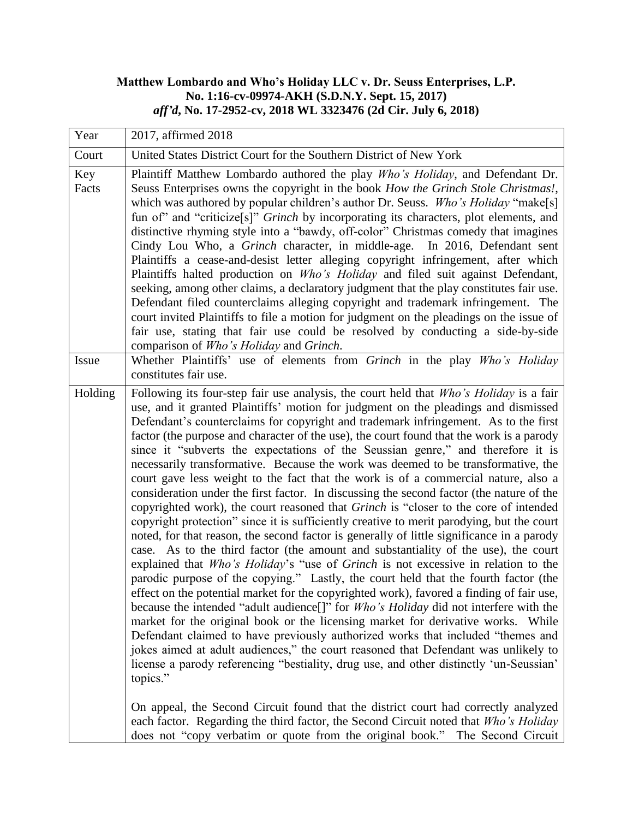## **Matthew Lombardo and Who's Holiday LLC v. Dr. Seuss Enterprises, L.P. No. 1:16-cv-09974-AKH (S.D.N.Y. Sept. 15, 2017)** *aff'd***, No. 17-2952-cv, 2018 WL 3323476 (2d Cir. July 6, 2018)**

| Year         | 2017, affirmed 2018                                                                                                                                                                                                                                                                                                                                                                                                                                                                                                                                                                                                                                                                                                                                                                                                                                                                                                                                                                                                                                                                                                                                                                                                                                                                                                                                                                                                                                                                                                                                                                                                                                                                                                                                                                                                                                                                                                                                                                                                       |
|--------------|---------------------------------------------------------------------------------------------------------------------------------------------------------------------------------------------------------------------------------------------------------------------------------------------------------------------------------------------------------------------------------------------------------------------------------------------------------------------------------------------------------------------------------------------------------------------------------------------------------------------------------------------------------------------------------------------------------------------------------------------------------------------------------------------------------------------------------------------------------------------------------------------------------------------------------------------------------------------------------------------------------------------------------------------------------------------------------------------------------------------------------------------------------------------------------------------------------------------------------------------------------------------------------------------------------------------------------------------------------------------------------------------------------------------------------------------------------------------------------------------------------------------------------------------------------------------------------------------------------------------------------------------------------------------------------------------------------------------------------------------------------------------------------------------------------------------------------------------------------------------------------------------------------------------------------------------------------------------------------------------------------------------------|
| Court        | United States District Court for the Southern District of New York                                                                                                                                                                                                                                                                                                                                                                                                                                                                                                                                                                                                                                                                                                                                                                                                                                                                                                                                                                                                                                                                                                                                                                                                                                                                                                                                                                                                                                                                                                                                                                                                                                                                                                                                                                                                                                                                                                                                                        |
| Key<br>Facts | Plaintiff Matthew Lombardo authored the play Who's Holiday, and Defendant Dr.<br>Seuss Enterprises owns the copyright in the book How the Grinch Stole Christmas!,<br>which was authored by popular children's author Dr. Seuss. Who's Holiday "make[s]<br>fun of" and "criticize[s]" Grinch by incorporating its characters, plot elements, and<br>distinctive rhyming style into a "bawdy, off-color" Christmas comedy that imagines<br>Cindy Lou Who, a Grinch character, in middle-age. In 2016, Defendant sent<br>Plaintiffs a cease-and-desist letter alleging copyright infringement, after which<br>Plaintiffs halted production on <i>Who's Holiday</i> and filed suit against Defendant,<br>seeking, among other claims, a declaratory judgment that the play constitutes fair use.<br>Defendant filed counterclaims alleging copyright and trademark infringement. The<br>court invited Plaintiffs to file a motion for judgment on the pleadings on the issue of<br>fair use, stating that fair use could be resolved by conducting a side-by-side<br>comparison of Who's Holiday and Grinch.                                                                                                                                                                                                                                                                                                                                                                                                                                                                                                                                                                                                                                                                                                                                                                                                                                                                                                                 |
| Issue        | Whether Plaintiffs' use of elements from Grinch in the play Who's Holiday<br>constitutes fair use.                                                                                                                                                                                                                                                                                                                                                                                                                                                                                                                                                                                                                                                                                                                                                                                                                                                                                                                                                                                                                                                                                                                                                                                                                                                                                                                                                                                                                                                                                                                                                                                                                                                                                                                                                                                                                                                                                                                        |
| Holding      | Following its four-step fair use analysis, the court held that Who's Holiday is a fair<br>use, and it granted Plaintiffs' motion for judgment on the pleadings and dismissed<br>Defendant's counterclaims for copyright and trademark infringement. As to the first<br>factor (the purpose and character of the use), the court found that the work is a parody<br>since it "subverts the expectations of the Seussian genre," and therefore it is<br>necessarily transformative. Because the work was deemed to be transformative, the<br>court gave less weight to the fact that the work is of a commercial nature, also a<br>consideration under the first factor. In discussing the second factor (the nature of the<br>copyrighted work), the court reasoned that <i>Grinch</i> is "closer to the core of intended<br>copyright protection" since it is sufficiently creative to merit parodying, but the court<br>noted, for that reason, the second factor is generally of little significance in a parody<br>case. As to the third factor (the amount and substantiality of the use), the court<br>explained that Who's Holiday's "use of Grinch is not excessive in relation to the<br>parodic purpose of the copying." Lastly, the court held that the fourth factor (the<br>effect on the potential market for the copyrighted work), favored a finding of fair use,<br>because the intended "adult audience[]" for Who's Holiday did not interfere with the<br>market for the original book or the licensing market for derivative works. While<br>Defendant claimed to have previously authorized works that included "themes and<br>jokes aimed at adult audiences," the court reasoned that Defendant was unlikely to<br>license a parody referencing "bestiality, drug use, and other distinctly 'un-Seussian'<br>topics."<br>On appeal, the Second Circuit found that the district court had correctly analyzed<br>each factor. Regarding the third factor, the Second Circuit noted that Who's Holiday |
|              | does not "copy verbatim or quote from the original book." The Second Circuit                                                                                                                                                                                                                                                                                                                                                                                                                                                                                                                                                                                                                                                                                                                                                                                                                                                                                                                                                                                                                                                                                                                                                                                                                                                                                                                                                                                                                                                                                                                                                                                                                                                                                                                                                                                                                                                                                                                                              |